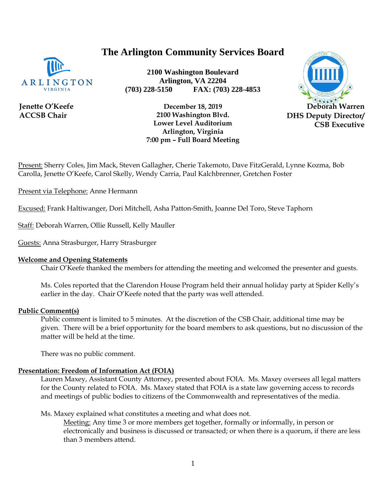# **The Arlington Community Services Board**



**Jenette O'Keefe ACCSB Chair**

**2100 Washington Boulevard Arlington, VA 22204 (703) 228-5150 FAX: (703) 228-4853**



**December 18, 2019 2100 Washington Blvd. Lower Level Auditorium Arlington, Virginia 7:00 pm – Full Board Meeting**

Present: Sherry Coles, Jim Mack, Steven Gallagher, Cherie Takemoto, Dave FitzGerald, Lynne Kozma, Bob Carolla, Jenette O'Keefe, Carol Skelly, Wendy Carria, Paul Kalchbrenner, Gretchen Foster

Present via Telephone: Anne Hermann

Excused: Frank Haltiwanger, Dori Mitchell, Asha Patton-Smith, Joanne Del Toro, Steve Taphorn

Staff: Deborah Warren, Ollie Russell, Kelly Mauller

Guests: Anna Strasburger, Harry Strasburger

#### **Welcome and Opening Statements**

Chair O'Keefe thanked the members for attending the meeting and welcomed the presenter and guests.

Ms. Coles reported that the Clarendon House Program held their annual holiday party at Spider Kelly's earlier in the day. Chair O'Keefe noted that the party was well attended.

#### **Public Comment(s)**

Public comment is limited to 5 minutes. At the discretion of the CSB Chair, additional time may be given. There will be a brief opportunity for the board members to ask questions, [but](http://but.no/) no discussion of the matter will be held at the time.

There was no public comment.

## **Presentation: Freedom of Information Act (FOIA)**

Lauren Maxey, Assistant County Attorney, presented about FOIA. Ms. Maxey oversees all legal matters for the County related to FOIA. Ms. Maxey stated that FOIA is a state law governing access to records and meetings of public bodies to citizens of the Commonwealth and representatives of the media.

Ms. Maxey explained what constitutes a meeting and what does not.

Meeting: Any time 3 or more members get together, formally or informally, in person or electronically and business is discussed or transacted; or when there is a quorum, if there are less than 3 members attend.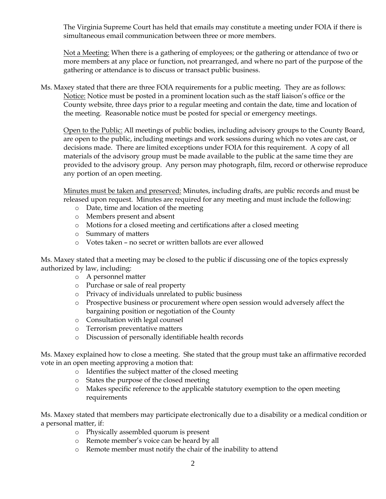The Virginia Supreme Court has held that emails may constitute a meeting under FOIA if there is simultaneous email communication between three or more members.

Not a Meeting: When there is a gathering of employees; or the gathering or attendance of two or more members at any place or function, not prearranged, and where no part of the purpose of the gathering or attendance is to discuss or transact public business.

Ms. Maxey stated that there are three FOIA requirements for a public meeting. They are as follows: Notice: Notice must be posted in a prominent location such as the staff liaison's office or the County website, three days prior to a regular meeting and contain the date, time and location of the meeting. Reasonable notice must be posted for special or emergency meetings.

Open to the Public: All meetings of public bodies, including advisory groups to the County Board, are open to the public, including meetings and work sessions during which no votes are cast, or decisions made. There are limited exceptions under FOIA for this requirement. A copy of all materials of the advisory group must be made available to the public at the same time they are provided to the advisory group. Any person may photograph, film, record or otherwise reproduce any portion of an open meeting.

Minutes must be taken and preserved: Minutes, including drafts, are public records and must be released upon request. Minutes are required for any meeting and must include the following:

- o Date, time and location of the meeting
- o Members present and absent
- o Motions for a closed meeting and certifications after a closed meeting
- o Summary of matters
- o Votes taken no secret or written ballots are ever allowed

Ms. Maxey stated that a meeting may be closed to the public if discussing one of the topics expressly authorized by law, including:

- o A personnel matter
- o Purchase or sale of real property
- o Privacy of individuals unrelated to public business
- o Prospective business or procurement where open session would adversely affect the bargaining position or negotiation of the County
- o Consultation with legal counsel
- o Terrorism preventative matters
- o Discussion of personally identifiable health records

Ms. Maxey explained how to close a meeting. She stated that the group must take an affirmative recorded vote in an open meeting approving a motion that:

- o Identifies the subject matter of the closed meeting
- o States the purpose of the closed meeting
- o Makes specific reference to the applicable statutory exemption to the open meeting requirements

Ms. Maxey stated that members may participate electronically due to a disability or a medical condition or a personal matter, if:

- o Physically assembled quorum is present
- o Remote member's voice can be heard by all
- o Remote member must notify the chair of the inability to attend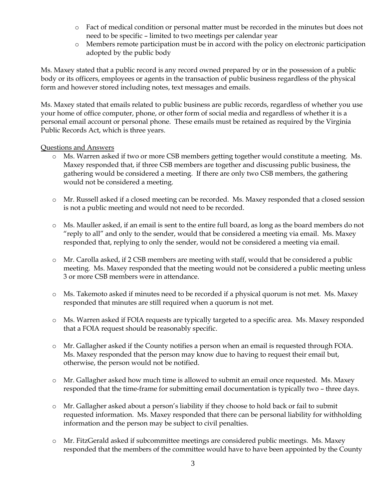- o Fact of medical condition or personal matter must be recorded in the minutes but does not need to be specific – limited to two meetings per calendar year
- o Members remote participation must be in accord with the policy on electronic participation adopted by the public body

Ms. Maxey stated that a public record is any record owned prepared by or in the possession of a public body or its officers, employees or agents in the transaction of public business regardless of the physical form and however stored including notes, text messages and emails.

Ms. Maxey stated that emails related to public business are public records, regardless of whether you use your home of office computer, phone, or other form of social media and regardless of whether it is a personal email account or personal phone. These emails must be retained as required by the Virginia Public Records Act, which is three years.

## Questions and Answers

- o Ms. Warren asked if two or more CSB members getting together would constitute a meeting. Ms. Maxey responded that, if three CSB members are together and discussing public business, the gathering would be considered a meeting. If there are only two CSB members, the gathering would not be considered a meeting.
- o Mr. Russell asked if a closed meeting can be recorded. Ms. Maxey responded that a closed session is not a public meeting and would not need to be recorded.
- o Ms. Mauller asked, if an email is sent to the entire full board, as long as the board members do not "reply to all" and only to the sender, would that be considered a meeting via email. Ms. Maxey responded that, replying to only the sender, would not be considered a meeting via email.
- o Mr. Carolla asked, if 2 CSB members are meeting with staff, would that be considered a public meeting. Ms. Maxey responded that the meeting would not be considered a public meeting unless 3 or more CSB members were in attendance.
- o Ms. Takemoto asked if minutes need to be recorded if a physical quorum is not met. Ms. Maxey responded that minutes are still required when a quorum is not met.
- o Ms. Warren asked if FOIA requests are typically targeted to a specific area. Ms. Maxey responded that a FOIA request should be reasonably specific.
- o Mr. Gallagher asked if the County notifies a person when an email is requested through FOIA. Ms. Maxey responded that the person may know due to having to request their email but, otherwise, the person would not be notified.
- o Mr. Gallagher asked how much time is allowed to submit an email once requested. Ms. Maxey responded that the time-frame for submitting email documentation is typically two – three days.
- o Mr. Gallagher asked about a person's liability if they choose to hold back or fail to submit requested information. Ms. Maxey responded that there can be personal liability for withholding information and the person may be subject to civil penalties.
- o Mr. FitzGerald asked if subcommittee meetings are considered public meetings. Ms. Maxey responded that the members of the committee would have to have been appointed by the County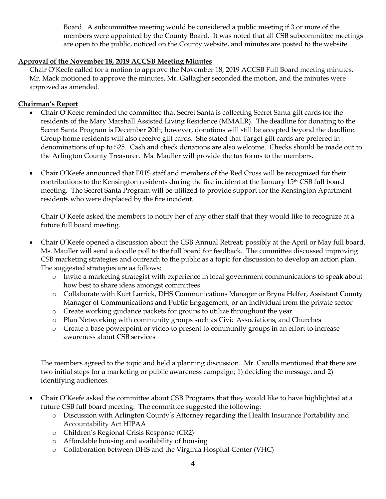Board. A subcommittee meeting would be considered a public meeting if 3 or more of the members were appointed by the County Board. It was noted that all CSB subcommittee meetings are open to the public, noticed on the County website, and minutes are posted to the website.

# **Approval of the November 18, 2019 ACCSB Meeting Minutes**

Chair O'Keefe called for a motion to approve the November 18, 2019 ACCSB Full Board meeting minutes. Mr. Mack motioned to approve the minutes, Mr. Gallagher seconded the motion, and the minutes were approved as amended.

# **Chairman's Report**

- Chair O'Keefe reminded the committee that Secret Santa is collecting Secret Santa gift cards for the residents of the Mary Marshall Assisted Living Residence (MMALR). The deadline for donating to the Secret Santa Program is December 20th; however, donations will still be accepted beyond the deadline. Group home residents will also receive gift cards. She stated that Target gift cards are prefered in denominations of up to \$25. Cash and check donations are also welcome. Checks should be made out to the Arlington County Treasurer. Ms. Mauller will provide the tax forms to the members.
- Chair O'Keefe announced that DHS staff and members of the Red Cross will be recognized for their contributions to the Kensington residents during the fire incident at the January 15th CSB full board meeting. The Secret Santa Program will be utilized to provide support for the Kensington Apartment residents who were displaced by the fire incident.

Chair O'Keefe asked the members to notify her of any other staff that they would like to recognize at a future full board meeting.

- Chair O'Keefe opened a discussion about the CSB Annual Retreat; possibly at the April or May full board. Ms. Mauller will send a doodle poll to the full board for feedback. The committee discussed improving CSB marketing strategies and outreach to the public as a topic for discussion to develop an action plan. The suggested strategies are as follows:
	- o Invite a marketing strategist with experience in local government communications to speak about how best to share ideas amongst committees
	- o Collaborate with Kurt Larrick, DHS Communications Manager or Bryna Helfer, Assistant County Manager of Communications and Public Engagement, or an individual from the private sector
	- o Create working guidance packets for groups to utilize throughout the year
	- o Plan Networking with community groups such as Civic Associations, and Churches
	- o Create a base powerpoint or video to present to community groups in an effort to increase awareness about CSB services

The members agreed to the topic and held a planning discussion. Mr. Carolla mentioned that there are two initial steps for a marketing or public awareness campaign; 1) deciding the message, and 2) identifying audiences.

- Chair O'Keefe asked the committee about CSB Programs that they would like to have highlighted at a future CSB full board meeting. The committee suggested the following:
	- o Discussion with Arlington County's Attorney regarding the Health Insurance Portability and Accountability Act HIPAA
	- o Children's Regional Crisis Response (CR2)
	- o Affordable housing and availability of housing
	- o Collaboration between DHS and the Virginia Hospital Center (VHC)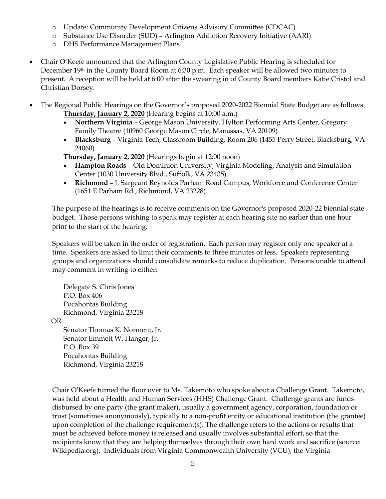- o Update: Community Development Citizens Advisory Committee (CDCAC)
- o Substance Use Disorder (SUD) Arlington Addiction Recovery Initiative (AARI)
- o DHS Performance Management Plans
- Chair O'Keefe announced that the Arlington County Legislative Public Hearing is scheduled for December 19th in the County Board Room at 6:30 p.m. Each speaker will be allowed two minutes to present. A reception will be held at 6:00 after the swearing in of County Board members Katie Cristol and Christian Dorsey.
- The Regional Public Hearings on the Governor's proposed 2020-2022 Biennial State Budget are as follows: **Thursday, January 2, 2020** (Hearing begins at 10:00 a.m.)
	- **Northern Virginia** George Mason University, Hylton Performing Arts Center, Gregory Family Theatre (10960 George Mason Circle, Manassas, VA 20109)
	- **Blacksburg** Virginia Tech, Classroom Building, Room 206 (1455 Perry Street, Blacksburg, VA 24060)

**Thursday, January 2, 2020** (Hearings begin at 12:00 noon)

- **Hampton Roads** Old Dominion University, Virginia Modeling, Analysis and Simulation Center (1030 University Blvd., Suffolk, VA 23435)
- **Richmond** J. Sargeant Reynolds Parham Road Campus, Workforce and Conference Center (1651 E Parham Rd., Richmond, VA 23228)

The purpose of the hearings is to receive comments on the Governor's proposed 2020-22 biennial state budget. Those persons wishing to speak may register at each hearing site no earlier than one hour prior to the start of the hearing.

Speakers will be taken in the order of registration. Each person may register only one speaker at a time. Speakers are asked to limit their comments to three minutes or less. Speakers representing groups and organizations should consolidate remarks to reduce duplication. Persons unable to attend may comment in writing to either:

Delegate S. Chris Jones P.O. Box 406 Pocahontas Building Richmond, Virginia 23218

OR

Senator Thomas K. Norment, Jr. Senator Emmett W. Hanger, Jr. P.O. Box 39 Pocahontas Building Richmond, Virginia 23218

Chair O'Keefe turned the floor over to Ms. Takemoto who spoke about a Challenge Grant. Takemoto, was held about a Health and Human Services (HHS) Challenge Grant. Challenge grants are funds disbursed by one party (the [grant](https://en.wikipedia.org/wiki/Grant_(money)) maker), usually a government agency, [corporation,](https://en.wikipedia.org/wiki/Corporation) [foundation](https://en.wikipedia.org/wiki/Foundation_(nonprofit)) or [trust](https://en.wikipedia.org/wiki/Charitable_trust) (sometimes anonymously), typically to a [non-profit](https://en.wikipedia.org/wiki/Non-profit) entity or educational institution (the grantee) upon completion of the challenge requirement(s). The challenge refers to the actions or results that must be achieved before money is released and usually involves substantial effort, so that the recipients know that they are helping themselves through their own hard work and sacrifice (source: Wikipedia.org). Individuals from Virginia Commonwealth University (VCU), the Virginia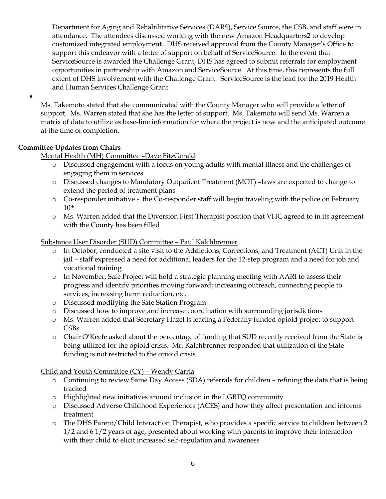Department for Aging and Rehabilitative Services (DARS), Service Source, the CSB, and staff were in attendance. The attendees discussed working with the new Amazon Headquarters2 to develop customized integrated employment. DHS received approval from the County Manager's Office to support this endeavor with a letter of support on behalf of ServiceSource. In the event that ServiceSource is awarded the Challenge Grant, DHS has agreed to submit referrals for employment opportunities in partnership with Amazon and ServiceSource. At this time, this represents the full extent of DHS involvement with the Challenge Grant. ServiceSource is the lead for the 2019 Health and Human Services Challenge Grant.

Ms. Takemoto stated that she communicated with the County Manager who will provide a letter of support. Ms. Warren stated that she has the letter of support. Ms. Takemoto will send Ms. Warren a matrix of data to utilize as base-line information for where the project is now and the anticipated outcome at the time of completion.

# **Committee Updates from Chairs**

•

Mental Health (MH) Committee –Dave FitzGerald

- o Discussed engagement with a focus on young adults with mental illness and the challenges of engaging them in services
- o Discussed changes to Mandatory Outpatient Treatment (MOT) –laws are expected to change to extend the period of treatment plans
- o Co-responder initiative the Co-responder staff will begin traveling with the police on February  $10<sup>th</sup>$
- o Ms. Warren added that the Diversion First Therapist position that VHC agreed to in its agreement with the County has been filled

Substance User Disorder (SUD) Committee – Paul Kalchbrenner

- o In October, conducted a site visit to the Addictions, Corrections, and Treatment (ACT) Unit in the jail – staff expressed a need for additional leaders for the 12-step program and a need for job and vocational training
- o In November, Safe Project will hold a strategic planning meeting with AARI to assess their progress and identify priorities moving forward; increasing outreach, connecting people to services, increasing harm reduction, etc.
- o Discussed modifying the Safe Station Program
- o Discussed how to improve and increase coordination with surrounding jurisdictions
- o Ms. Warren added that Secretary Hazel is leading a Federally funded opioid project to support CSBs
- o Chair O'Keefe asked about the percentage of funding that SUD recently received from the State is being utilized for the opioid crisis. Mr. Kalchbrenner responded that utilization of the State funding is not restricted to the opioid crisis

Child and Youth Committee (CY) – Wendy Carria

- o Continuing to review Same Day Access (SDA) referrals for children refining the data that is being tracked
- o Highlighted new initiatives around inclusion in the LGBTQ community
- o Discussed Adverse Childhood Experiences (ACES) and how they affect presentation and informs treatment
- o The DHS Parent/Child Interaction Therapist, who provides a specific service to children between 2 1/2 and 6 1/2 years of age, presented about working with parents to improve their interaction with their child to elicit increased self-regulation and awareness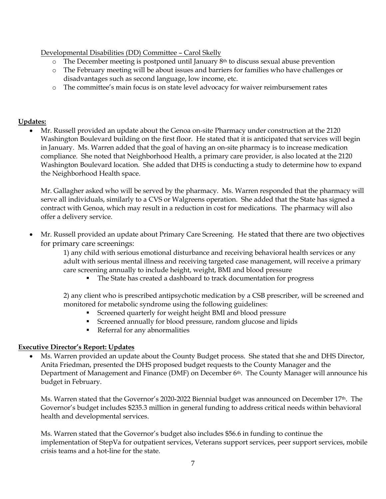Developmental Disabilities (DD) Committee – Carol Skelly

- $\circ$  The December meeting is postponed until January 8<sup>th</sup> to discuss sexual abuse prevention
- o The February meeting will be about issues and barriers for families who have challenges or disadvantages such as second language, low income, etc.
- o The committee's main focus is on state level advocacy for waiver reimbursement rates

# **Updates:**

• Mr. Russell provided an update about the Genoa on-site Pharmacy under construction at the 2120 Washington Boulevard building on the first floor. He stated that it is anticipated that services will begin in January. Ms. Warren added that the goal of having an on-site pharmacy is to increase medication compliance. She noted that Neighborhood Health, a primary care provider, is also located at the 2120 Washington Boulevard location. She added that DHS is conducting a study to determine how to expand the Neighborhood Health space.

Mr. Gallagher asked who will be served by the pharmacy. Ms. Warren responded that the pharmacy will serve all individuals, similarly to a CVS or Walgreens operation. She added that the State has signed a contract with Genoa, which may result in a reduction in cost for medications. The pharmacy will also offer a delivery service.

• Mr. Russell provided an update about Primary Care Screening. He stated that there are two objectives for primary care screenings:

1) any child with serious emotional disturbance and receiving behavioral health services or any adult with serious mental illness and receiving targeted case management, will receive a primary care screening annually to include height, weight, BMI and blood pressure

The State has created a dashboard to track documentation for progress

2) any client who is prescribed antipsychotic medication by a CSB prescriber, will be screened and monitored for metabolic syndrome using the following guidelines:

- Screened quarterly for weight height BMI and blood pressure
- Screened annually for blood pressure, random glucose and lipids
- Referral for any abnormalities

# **Executive Director's Report: Updates**

• Ms. Warren provided an update about the County Budget process. She stated that she and DHS Director, Anita Friedman, presented the DHS proposed budget requests to the County Manager and the Department of Management and Finance (DMF) on December 6th. The County Manager will announce his budget in February.

Ms. Warren stated that the Governor's 2020-2022 Biennial budget was announced on December 17<sup>th</sup>. The Governor's budget includes \$235.3 million in general funding to address critical needs within behavioral health and developmental services.

Ms. Warren stated that the Governor's budget also includes \$56.6 in funding to continue the implementation of StepVa for outpatient services, Veterans support services, peer support services, mobile crisis teams and a hot-line for the state.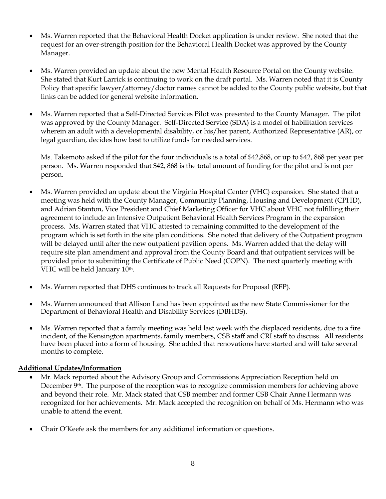- Ms. Warren reported that the Behavioral Health Docket application is under review. She noted that the request for an over-strength position for the Behavioral Health Docket was approved by the County Manager.
- Ms. Warren provided an update about the new Mental Health Resource Portal on the County website. She stated that Kurt Larrick is continuing to work on the draft portal. Ms. Warren noted that it is County Policy that specific lawyer/attorney/doctor names cannot be added to the County public website, but that links can be added for general website information.
- Ms. Warren reported that a Self-Directed Services Pilot was presented to the County Manager. The pilot was approved by the County Manager. Self-Directed Service (SDA) is a model of habilitation services wherein an adult with a developmental disability, or his/her parent, Authorized Representative (AR), or legal guardian, decides how best to utilize funds for needed services.

Ms. Takemoto asked if the pilot for the four individuals is a total of \$42,868, or up to \$42, 868 per year per person. Ms. Warren responded that \$42, 868 is the total amount of funding for the pilot and is not per person.

- Ms. Warren provided an update about the Virginia Hospital Center (VHC) expansion. She stated that a meeting was held with the County Manager, Community Planning, Housing and Development (CPHD), and Adrian Stanton, Vice President and Chief Marketing Officer for VHC about VHC not fulfilling their agreement to include an Intensive Outpatient Behavioral Health Services Program in the expansion process. Ms. Warren stated that VHC attested to remaining committed to the development of the program which is set forth in the site plan conditions. She noted that delivery of the Outpatient program will be delayed until after the new outpatient pavilion opens. Ms. Warren added that the delay will require site plan amendment and approval from the County Board and that outpatient services will be provided prior to submitting the Certificate of Public Need (COPN). The next quarterly meeting with VHC will be held January 10<sup>th</sup>.
- Ms. Warren reported that DHS continues to track all Requests for Proposal (RFP).
- Ms. Warren announced that Allison Land has been appointed as the new State Commissioner for the Department of Behavioral Health and Disability Services (DBHDS).
- Ms. Warren reported that a family meeting was held last week with the displaced residents, due to a fire incident, of the Kensington apartments, family members, CSB staff and CRI staff to discuss. All residents have been placed into a form of housing. She added that renovations have started and will take several months to complete.

## **Additional Updates/Information**

- Mr. Mack reported about the Advisory Group and Commissions Appreciation Reception held on December 9<sup>th</sup>. The purpose of the reception was to recognize commission members for achieving above and beyond their role. Mr. Mack stated that CSB member and former CSB Chair Anne Hermann was recognized for her achievements. Mr. Mack accepted the recognition on behalf of Ms. Hermann who was unable to attend the event.
- Chair O'Keefe ask the members for any additional information or questions.